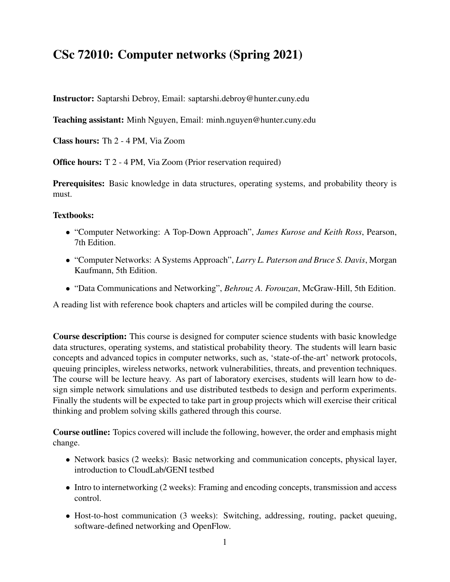## CSc 72010: Computer networks (Spring 2021)

Instructor: Saptarshi Debroy, Email: saptarshi.debroy@hunter.cuny.edu

Teaching assistant: Minh Nguyen, Email: minh.nguyen@hunter.cuny.edu

Class hours: Th 2 - 4 PM, Via Zoom

Office hours: T 2 - 4 PM, Via Zoom (Prior reservation required)

Prerequisites: Basic knowledge in data structures, operating systems, and probability theory is must.

## Textbooks:

- "Computer Networking: A Top-Down Approach", *James Kurose and Keith Ross*, Pearson, 7th Edition.
- "Computer Networks: A Systems Approach", *Larry L. Paterson and Bruce S. Davis*, Morgan Kaufmann, 5th Edition.
- "Data Communications and Networking", *Behrouz A. Forouzan*, McGraw-Hill, 5th Edition.

A reading list with reference book chapters and articles will be compiled during the course.

Course description: This course is designed for computer science students with basic knowledge data structures, operating systems, and statistical probability theory. The students will learn basic concepts and advanced topics in computer networks, such as, 'state-of-the-art' network protocols, queuing principles, wireless networks, network vulnerabilities, threats, and prevention techniques. The course will be lecture heavy. As part of laboratory exercises, students will learn how to design simple network simulations and use distributed testbeds to design and perform experiments. Finally the students will be expected to take part in group projects which will exercise their critical thinking and problem solving skills gathered through this course.

Course outline: Topics covered will include the following, however, the order and emphasis might change.

- Network basics (2 weeks): Basic networking and communication concepts, physical layer, introduction to CloudLab/GENI testbed
- Intro to internetworking (2 weeks): Framing and encoding concepts, transmission and access control.
- Host-to-host communication (3 weeks): Switching, addressing, routing, packet queuing, software-defined networking and OpenFlow.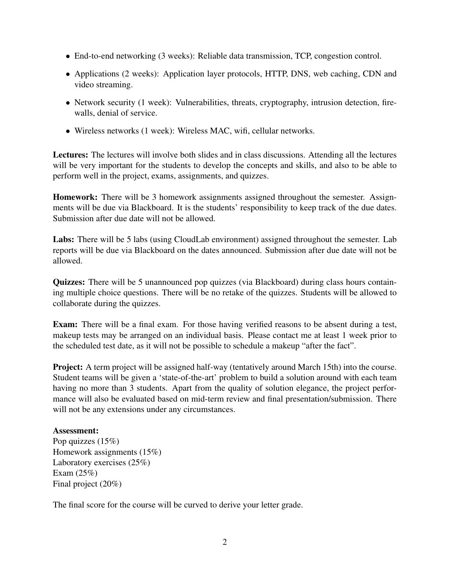- End-to-end networking (3 weeks): Reliable data transmission, TCP, congestion control.
- Applications (2 weeks): Application layer protocols, HTTP, DNS, web caching, CDN and video streaming.
- Network security (1 week): Vulnerabilities, threats, cryptography, intrusion detection, firewalls, denial of service.
- Wireless networks (1 week): Wireless MAC, wifi, cellular networks.

Lectures: The lectures will involve both slides and in class discussions. Attending all the lectures will be very important for the students to develop the concepts and skills, and also to be able to perform well in the project, exams, assignments, and quizzes.

**Homework:** There will be 3 homework assignments assigned throughout the semester. Assignments will be due via Blackboard. It is the students' responsibility to keep track of the due dates. Submission after due date will not be allowed.

Labs: There will be 5 labs (using CloudLab environment) assigned throughout the semester. Lab reports will be due via Blackboard on the dates announced. Submission after due date will not be allowed.

Quizzes: There will be 5 unannounced pop quizzes (via Blackboard) during class hours containing multiple choice questions. There will be no retake of the quizzes. Students will be allowed to collaborate during the quizzes.

Exam: There will be a final exam. For those having verified reasons to be absent during a test, makeup tests may be arranged on an individual basis. Please contact me at least 1 week prior to the scheduled test date, as it will not be possible to schedule a makeup "after the fact".

Project: A term project will be assigned half-way (tentatively around March 15th) into the course. Student teams will be given a 'state-of-the-art' problem to build a solution around with each team having no more than 3 students. Apart from the quality of solution elegance, the project performance will also be evaluated based on mid-term review and final presentation/submission. There will not be any extensions under any circumstances.

## Assessment:

Pop quizzes  $(15%)$ Homework assignments (15%) Laboratory exercises (25%) Exam (25%) Final project (20%)

The final score for the course will be curved to derive your letter grade.